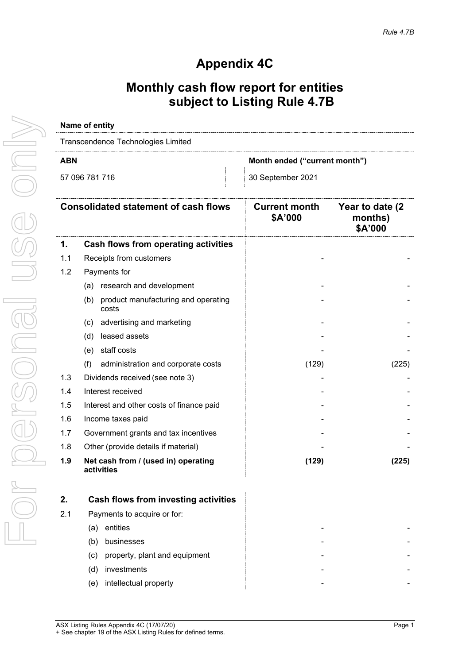# **Appendix 4C**

### **Monthly cash flow report for entities subject to Listing Rule 4.7B**

# **Name of entity** Transcendence Technologies Limited **ABN Month ended ("current month")**

| 57<br>м |  |
|---------|--|
|         |  |

|     | <b>Consolidated statement of cash flows</b>         | <b>Current month</b><br>\$A'000 | Year to date (2)<br>months)<br>\$A'000 |
|-----|-----------------------------------------------------|---------------------------------|----------------------------------------|
| 1.  | Cash flows from operating activities                |                                 |                                        |
| 1.1 | Receipts from customers                             |                                 |                                        |
| 1.2 | Payments for                                        |                                 |                                        |
|     | research and development<br>(a)                     |                                 |                                        |
|     | product manufacturing and operating<br>(b)<br>costs |                                 |                                        |
|     | advertising and marketing<br>(c)                    |                                 |                                        |
|     | leased assets<br>(d)                                |                                 |                                        |
|     | staff costs<br>(e)                                  |                                 |                                        |
|     | (f)<br>administration and corporate costs           | (129)                           | (225)                                  |
| 1.3 | Dividends received (see note 3)                     |                                 |                                        |
| 1.4 | Interest received                                   |                                 |                                        |
| 1.5 | Interest and other costs of finance paid            |                                 |                                        |
| 1.6 | Income taxes paid                                   |                                 |                                        |
| 1.7 | Government grants and tax incentives                |                                 |                                        |
| 1.8 | Other (provide details if material)                 |                                 |                                        |
| 1.9 | Net cash from / (used in) operating<br>activities   | (129)                           | (225)                                  |

| 2.  | Cash flows from investing activities |   |  |
|-----|--------------------------------------|---|--|
| 2.1 | Payments to acquire or for:          |   |  |
|     | entities<br>а                        | - |  |
|     | businesses<br>b                      | - |  |
|     | property, plant and equipment<br>(c) | - |  |
|     | investments<br>d                     | - |  |
|     | intellectual property<br>e           | - |  |
|     |                                      |   |  |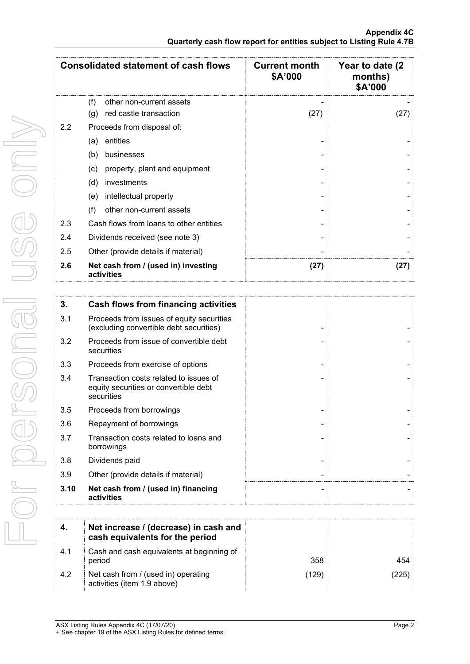|     | <b>Consolidated statement of cash flows</b>       | <b>Current month</b><br>\$A'000 | Year to date (2)<br>months)<br>\$A'000 |
|-----|---------------------------------------------------|---------------------------------|----------------------------------------|
|     | (f)<br>other non-current assets                   |                                 |                                        |
|     | red castle transaction<br>(g)                     | (27)                            | (27)                                   |
| 2.2 | Proceeds from disposal of:                        |                                 |                                        |
|     | entities<br>(a)                                   |                                 |                                        |
|     | (b)<br>businesses                                 |                                 |                                        |
|     | property, plant and equipment<br>(c)              |                                 |                                        |
|     | investments<br>(d)                                |                                 |                                        |
|     | intellectual property<br>(e)                      |                                 |                                        |
|     | (f)<br>other non-current assets                   |                                 |                                        |
| 2.3 | Cash flows from loans to other entities           |                                 |                                        |
| 2.4 | Dividends received (see note 3)                   |                                 |                                        |
| 2.5 | Other (provide details if material)               |                                 |                                        |
| 2.6 | Net cash from / (used in) investing<br>activities | (27)                            | (27)                                   |

| 3.   | Cash flows from financing activities                                                          |  |
|------|-----------------------------------------------------------------------------------------------|--|
| 3.1  | Proceeds from issues of equity securities<br>(excluding convertible debt securities)          |  |
| 3.2  | Proceeds from issue of convertible debt<br>securities                                         |  |
| 3.3  | Proceeds from exercise of options                                                             |  |
| 3.4  | Transaction costs related to issues of<br>equity securities or convertible debt<br>securities |  |
| 3.5  | Proceeds from borrowings                                                                      |  |
| 3.6  | Repayment of borrowings                                                                       |  |
| 3.7  | Transaction costs related to loans and<br>borrowings                                          |  |
| 3.8  | Dividends paid                                                                                |  |
| 3.9  | Other (provide details if material)                                                           |  |
| 3.10 | Net cash from / (used in) financing<br>activities                                             |  |

|      | Net increase / (decrease) in cash and<br>cash equivalents for the period |      |     |
|------|--------------------------------------------------------------------------|------|-----|
| -4.1 | Cash and cash equivalents at beginning of<br>period                      | 358  | 454 |
| 4.2  | Net cash from / (used in) operating<br>activities (item 1.9 above)       | ้129 | 225 |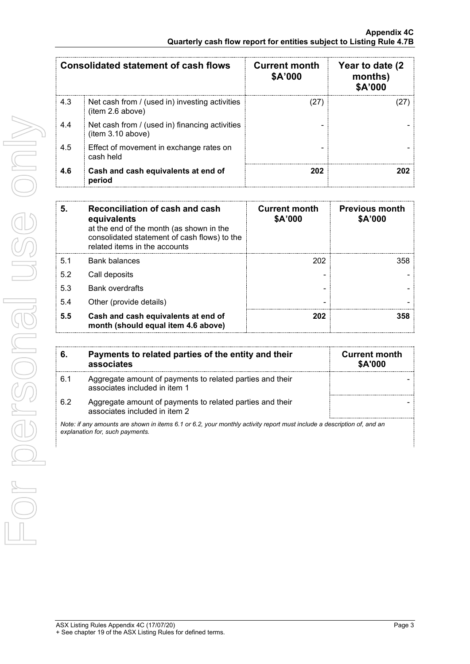|     | Consolidated statement of cash flows                                | <b>Current month</b><br>\$A'000 | Year to date (2)<br>months)<br>\$A'000 |
|-----|---------------------------------------------------------------------|---------------------------------|----------------------------------------|
| 4.3 | Net cash from / (used in) investing activities<br>(item 2.6 above)  |                                 |                                        |
| 4.4 | Net cash from / (used in) financing activities<br>(item 3.10 above) |                                 |                                        |
| 4.5 | Effect of movement in exchange rates on<br>cash held                |                                 |                                        |
| 4.6 | Cash and cash equivalents at end of<br>period                       | 202                             |                                        |

| 5.  | Reconciliation of cash and cash<br>equivalents<br>at the end of the month (as shown in the<br>consolidated statement of cash flows) to the<br>related items in the accounts | <b>Current month</b><br>\$A'000 | <b>Previous month</b><br>\$A'000 |
|-----|-----------------------------------------------------------------------------------------------------------------------------------------------------------------------------|---------------------------------|----------------------------------|
| 5.1 | <b>Bank balances</b>                                                                                                                                                        | 202                             | 358.                             |
| 5.2 | Call deposits                                                                                                                                                               |                                 |                                  |
| 5.3 | <b>Bank overdrafts</b>                                                                                                                                                      |                                 |                                  |
| 5.4 | Other (provide details)                                                                                                                                                     |                                 |                                  |
| 5.5 | Cash and cash equivalents at end of<br>month (should equal item 4.6 above)                                                                                                  | 202                             |                                  |

| 6.  | Payments to related parties of the entity and their<br>associates                          | <b>Current month</b><br><b>\$A'000</b> |
|-----|--------------------------------------------------------------------------------------------|----------------------------------------|
| 6.1 | Aggregate amount of payments to related parties and their<br>associates included in item 1 |                                        |
| 6.2 | Aggregate amount of payments to related parties and their<br>associates included in item 2 |                                        |

*Note: if any amounts are shown in items 6.1 or 6.2, your monthly activity report must include a description of, and an explanation for, such payments.*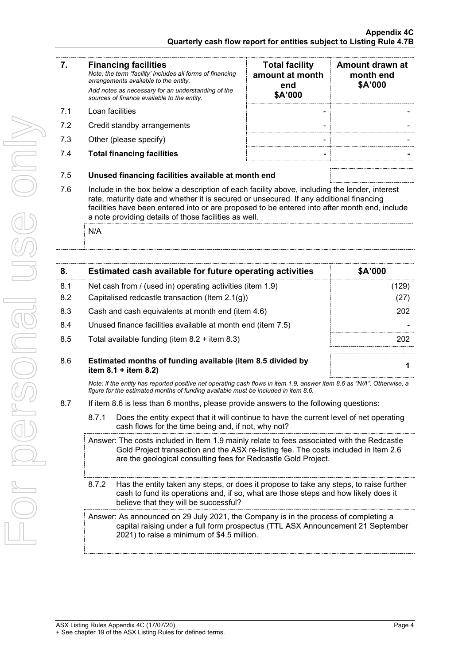|    | <b>Financing facilities</b><br>Note: the term "facility' includes all forms of financing<br>arrangements available to the entity.<br>Add notes as necessary for an understanding of the<br>sources of finance available to the entity. | <b>Total facility</b><br>amount at month<br>end<br>\$A'000 | Amount drawn at<br>month end<br>\$A'000 |
|----|----------------------------------------------------------------------------------------------------------------------------------------------------------------------------------------------------------------------------------------|------------------------------------------------------------|-----------------------------------------|
| 71 | Loan facilities                                                                                                                                                                                                                        | -                                                          |                                         |

- 7.2 Credit standby arrangements
- 7.3 Other (please specify)
- 7.4 **Total financing facilities - -**

| Amount drawn at<br>month end<br>\$A'000 |
|-----------------------------------------|
|                                         |
|                                         |
|                                         |
|                                         |
|                                         |

- 7.5 **Unused financing facilities available at month end**
- 7.6 Include in the box below a description of each facility above, including the lender, interest rate, maturity date and whether it is secured or unsecured. If any additional financing facilities have been entered into or are proposed to be entered into after month end, include a note providing details of those facilities as well.

N/A

| 8.  | Estimated cash available for future operating activities                                                                                                                                                     | \$A'000 |
|-----|--------------------------------------------------------------------------------------------------------------------------------------------------------------------------------------------------------------|---------|
| 8.1 | Net cash from / (used in) operating activities (item 1.9)                                                                                                                                                    | (129)   |
| 8.2 | Capitalised redcastle transaction (Item $2.1(g)$ )                                                                                                                                                           | (27)    |
| 8.3 | Cash and cash equivalents at month end (item 4.6)                                                                                                                                                            | 202     |
| 8.4 | Unused finance facilities available at month end (item 7.5)                                                                                                                                                  |         |
| 8.5 | Total available funding (item $8.2 +$ item $8.3$ )                                                                                                                                                           | 202     |
| 8.6 | Estimated months of funding available (item 8.5 divided by<br>item $8.1 +$ item $8.2$ )                                                                                                                      |         |
|     | Note: if the entity has reported positive net operating cash flows in item 1.9, answer item 8.6 as "N/A". Otherwise, a<br>figure for the estimated months of funding available must be included in item 8.6. |         |
| 8.7 | If item 8.6 is less than 6 months, please provide answers to the following questions:                                                                                                                        |         |
|     | Does the entity expect that it will continue to have the current level of net operating<br>8.7.1                                                                                                             |         |

8.7.1 Does the entity expect that it will continue to have the current level of net operating cash flows for the time being and, if not, why not?

Answer: The costs included in Item 1.9 mainly relate to fees associated with the Redcastle Gold Project transaction and the ASX re-listing fee. The costs included in Item 2.6 are the geological consulting fees for Redcastle Gold Project.

8.7.2 Has the entity taken any steps, or does it propose to take any steps, to raise further cash to fund its operations and, if so, what are those steps and how likely does it believe that they will be successful?

Answer: As announced on 29 July 2021, the Company is in the process of completing a capital raising under a full form prospectus (TTL ASX Announcement 21 September 2021) to raise a minimum of \$4.5 million.